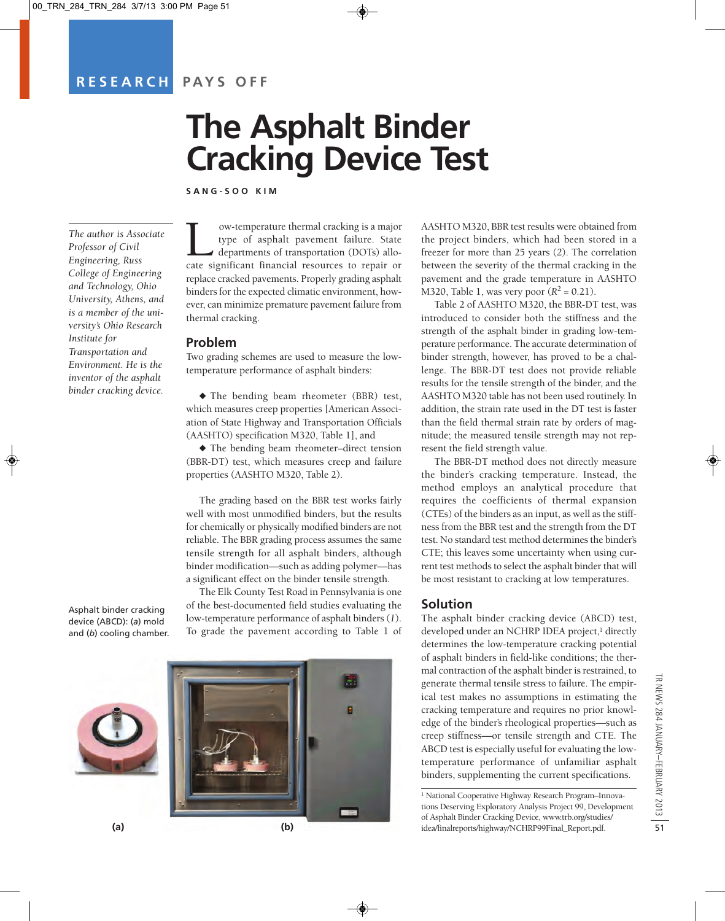# **RESEARCH PAYS OFF**

# **The Asphalt Binder Cracking Device Test**

**SANG-SOO KIM** 

*The author is Associate Professor of Civil Engineering, Russ College of Engineering and Technology, Ohio University, Athens, and is a member of the university's Ohio Research Institute for Transportation and Environment. He is the inventor of the asphalt binder cracking device.*

Asphalt binder cracking device (ABCD): (*a*) mold and (*b*) cooling chamber.



Low-temperature thermal cracking is a major cate significant financial resources to repair or type of asphalt pavement failure. State departments of transportation (DOTs) alloreplace cracked pavements. Properly grading asphalt binders for the expected climatic environment, however, can minimize premature pavement failure from thermal cracking.

#### **Problem**

Two grading schemes are used to measure the lowtemperature performance of asphalt binders:

 $\blacklozenge$  The bending beam rheometer (BBR) test, which measures creep properties [American Association of State Highway and Transportation Officials (AASHTO) specification M320, Table 1], and

 $\blacklozenge$  The bending beam rheometer-direct tension (BBR-DT) test, which measures creep and failure properties (AASHTO M320, Table 2).

The grading based on the BBR test works fairly well with most unmodified binders, but the results for chemically or physically modified binders are not reliable. The BBR grading process assumes the same tensile strength for all asphalt binders, although binder modification—such as adding polymer—has a significant effect on the binder tensile strength.

The Elk County Test Road in Pennsylvania is one of the best-documented field studies evaluating the low-temperature performance of asphalt binders (*1*). To grade the pavement according to Table 1 of AASHTO M320, BBR test results were obtained from the project binders, which had been stored in a freezer for more than 25 years (*2*). The correlation between the severity of the thermal cracking in the pavement and the grade temperature in AASHTO M320, Table 1, was very poor  $(R^2 = 0.21)$ .

Table 2 of AASHTO M320, the BBR-DT test, was introduced to consider both the stiffness and the strength of the asphalt binder in grading low-temperature performance. The accurate determination of binder strength, however, has proved to be a challenge. The BBR-DT test does not provide reliable results for the tensile strength of the binder, and the AASHTO M320 table has not been used routinely. In addition, the strain rate used in the DT test is faster than the field thermal strain rate by orders of magnitude; the measured tensile strength may not represent the field strength value.

The BBR-DT method does not directly measure the binder's cracking temperature. Instead, the method employs an analytical procedure that requires the coefficients of thermal expansion (CTEs) of the binders as an input, as well as the stiffness from the BBR test and the strength from the DT test. No standard test method determines the binder's CTE; this leaves some uncertainty when using current test methods to select the asphalt binder that will be most resistant to cracking at low temperatures.

#### **Solution**

The asphalt binder cracking device (ABCD) test, developed under an NCHRP IDEA project,<sup>1</sup> directly determines the low-temperature cracking potential of asphalt binders in field-like conditions; the thermal contraction of the asphalt binder is restrained, to generate thermal tensile stress to failure. The empirical test makes no assumptions in estimating the cracking temperature and requires no prior knowledge of the binder's rheological properties—such as creep stiffness—or tensile strength and CTE. The ABCD test is especially useful for evaluating the lowtemperature performance of unfamiliar asphalt binders, supplementing the current specifications.

<sup>1</sup> National Cooperative Highway Research Program–Innovations Deserving Exploratory Analysis Project 99, Development of Asphalt Binder Cracking Device, [www.trb.org/studies/](http://www.trb.org/studies/idea/finalreports/highway/NCHRP99Final_Report.pdf) idea/finalreports/highway/NCHRP99Final\_Report.pdf.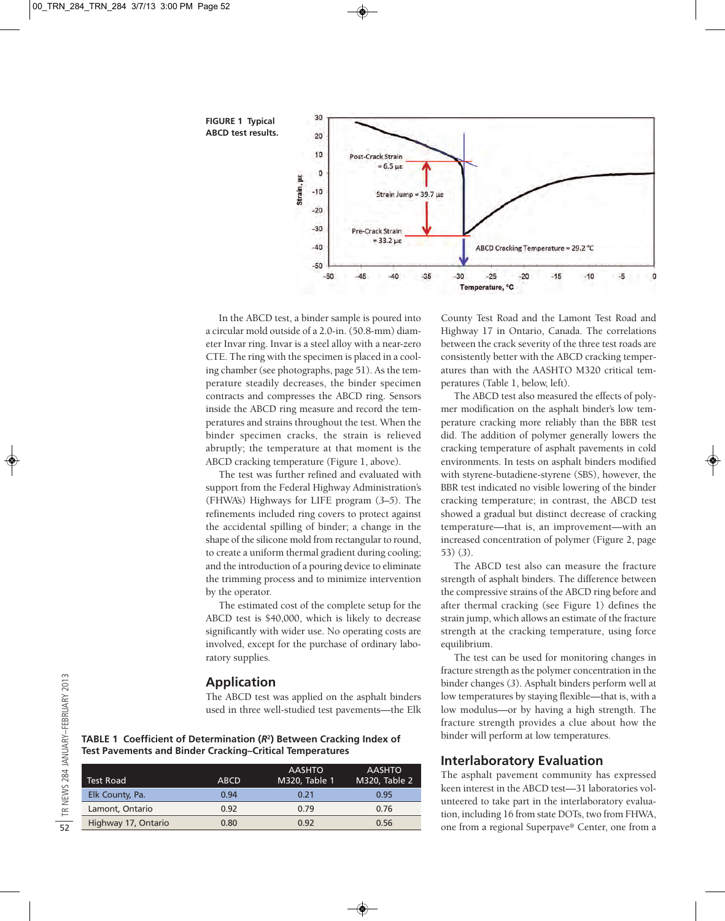**FIGURE 1 Typical ABCD test results.**



In the ABCD test, a binder sample is poured into a circular mold outside of a 2.0-in. (50.8-mm) diameter Invar ring. Invar is a steel alloy with a near-zero CTE. The ring with the specimen is placed in a cooling chamber (see photographs, page 51). As the temperature steadily decreases, the binder specimen contracts and compresses the ABCD ring. Sensors inside the ABCD ring measure and record the temperatures and strains throughout the test. When the binder specimen cracks, the strain is relieved abruptly; the temperature at that moment is the ABCD cracking temperature (Figure 1, above).

The test was further refined and evaluated with support from the Federal Highway Administration's (FHWA's) Highways for LIFE program (*3–5*). The refinements included ring covers to protect against the accidental spilling of binder; a change in the shape of the silicone mold from rectangular to round, to create a uniform thermal gradient during cooling; and the introduction of a pouring device to eliminate the trimming process and to minimize intervention by the operator.

The estimated cost of the complete setup for the ABCD test is \$40,000, which is likely to decrease significantly with wider use. No operating costs are involved, except for the purchase of ordinary laboratory supplies.

#### **Application**

The ABCD test was applied on the asphalt binders used in three well-studied test pavements—the Elk

**TABLE 1 Coefficient of Determination (***R***2) Between Cracking Index of Test Pavements and Binder Cracking–Critical Temperatures**

|                     |             | <b>AASHTO</b> | <b>AASHTO</b> |
|---------------------|-------------|---------------|---------------|
| <b>Test Road</b>    | <b>ABCD</b> | M320, Table 1 | M320, Table 2 |
| Elk County, Pa.     | 0.94        | 0.21          | 0.95          |
| Lamont, Ontario     | 0.92        | 0.79          | 0.76          |
| Highway 17, Ontario | 0.80        | 0.92          | 0.56          |

County Test Road and the Lamont Test Road and Highway 17 in Ontario, Canada. The correlations between the crack severity of the three test roads are consistently better with the ABCD cracking temperatures than with the AASHTO M320 critical temperatures (Table 1, below, left).

The ABCD test also measured the effects of polymer modification on the asphalt binder's low temperature cracking more reliably than the BBR test did. The addition of polymer generally lowers the cracking temperature of asphalt pavements in cold environments. In tests on asphalt binders modified with styrene-butadiene-styrene (SBS), however, the BBR test indicated no visible lowering of the binder cracking temperature; in contrast, the ABCD test showed a gradual but distinct decrease of cracking temperature—that is, an improvement—with an increased concentration of polymer (Figure 2, page 53) (*3*).

The ABCD test also can measure the fracture strength of asphalt binders. The difference between the compressive strains of the ABCD ring before and after thermal cracking (see Figure 1) defines the strain jump, which allows an estimate of the fracture strength at the cracking temperature, using force equilibrium.

The test can be used for monitoring changes in fracture strength as the polymer concentration in the binder changes (*3*). Asphalt binders perform well at low temperatures by staying flexible—that is, with a low modulus—or by having a high strength. The fracture strength provides a clue about how the binder will perform at low temperatures.

## **Interlaboratory Evaluation**

The asphalt pavement community has expressed keen interest in the ABCD test—31 laboratories volunteered to take part in the interlaboratory evaluation, including 16 from state DOTs, two from FHWA, one from a regional Superpave® Center, one from a